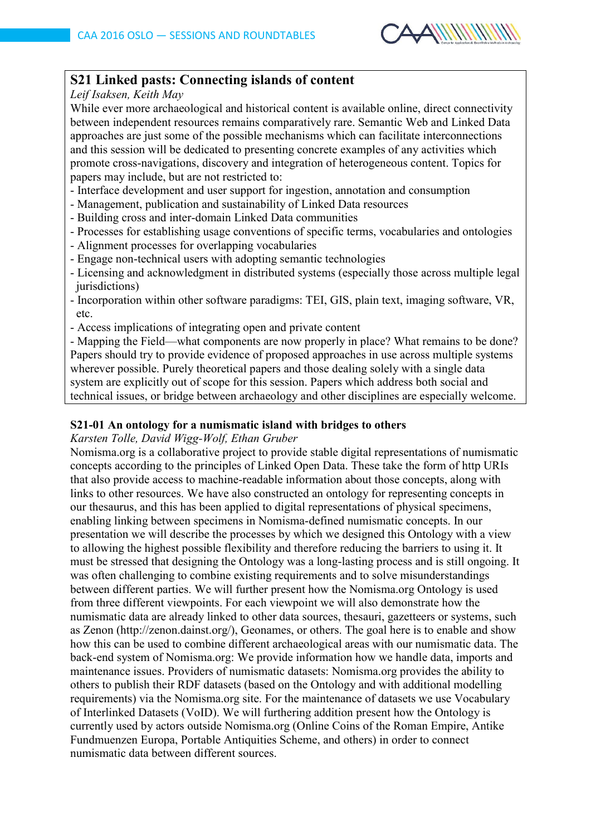

# **S21 Linked pasts: Connecting islands of content**

### *Leif Isaksen, Keith May*

While ever more archaeological and historical content is available online, direct connectivity between independent resources remains comparatively rare. Semantic Web and Linked Data approaches are just some of the possible mechanisms which can facilitate interconnections and this session will be dedicated to presenting concrete examples of any activities which promote cross-navigations, discovery and integration of heterogeneous content. Topics for papers may include, but are not restricted to:

- Interface development and user support for ingestion, annotation and consumption
- Management, publication and sustainability of Linked Data resources
- Building cross and inter-domain Linked Data communities
- Processes for establishing usage conventions of specific terms, vocabularies and ontologies
- Alignment processes for overlapping vocabularies
- Engage non-technical users with adopting semantic technologies
- Licensing and acknowledgment in distributed systems (especially those across multiple legal jurisdictions)
- Incorporation within other software paradigms: TEI, GIS, plain text, imaging software, VR, etc.
- Access implications of integrating open and private content

- Mapping the Field—what components are now properly in place? What remains to be done? Papers should try to provide evidence of proposed approaches in use across multiple systems wherever possible. Purely theoretical papers and those dealing solely with a single data system are explicitly out of scope for this session. Papers which address both social and technical issues, or bridge between archaeology and other disciplines are especially welcome.

## **S21-01 An ontology for a numismatic island with bridges to others**

#### *Karsten Tolle, David Wigg-Wolf, Ethan Gruber*

Nomisma.org is a collaborative project to provide stable digital representations of numismatic concepts according to the principles of Linked Open Data. These take the form of http URIs that also provide access to machine-readable information about those concepts, along with links to other resources. We have also constructed an ontology for representing concepts in our thesaurus, and this has been applied to digital representations of physical specimens, enabling linking between specimens in Nomisma-defined numismatic concepts. In our presentation we will describe the processes by which we designed this Ontology with a view to allowing the highest possible flexibility and therefore reducing the barriers to using it. It must be stressed that designing the Ontology was a long-lasting process and is still ongoing. It was often challenging to combine existing requirements and to solve misunderstandings between different parties. We will further present how the Nomisma.org Ontology is used from three different viewpoints. For each viewpoint we will also demonstrate how the numismatic data are already linked to other data sources, thesauri, gazetteers or systems, such as Zenon (http://zenon.dainst.org/), Geonames, or others. The goal here is to enable and show how this can be used to combine different archaeological areas with our numismatic data. The back-end system of Nomisma.org: We provide information how we handle data, imports and maintenance issues. Providers of numismatic datasets: Nomisma.org provides the ability to others to publish their RDF datasets (based on the Ontology and with additional modelling requirements) via the Nomisma.org site. For the maintenance of datasets we use Vocabulary of Interlinked Datasets (VoID). We will furthering addition present how the Ontology is currently used by actors outside Nomisma.org (Online Coins of the Roman Empire, Antike Fundmuenzen Europa, Portable Antiquities Scheme, and others) in order to connect numismatic data between different sources.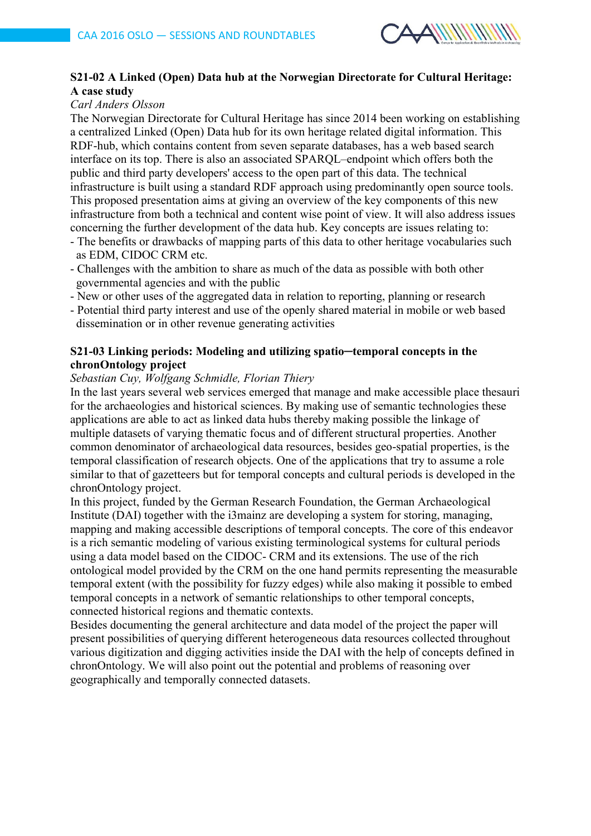

## **S21-02 A Linked (Open) Data hub at the Norwegian Directorate for Cultural Heritage: A case study**

## *Carl Anders Olsson*

The Norwegian Directorate for Cultural Heritage has since 2014 been working on establishing a centralized Linked (Open) Data hub for its own heritage related digital information. This RDF-hub, which contains content from seven separate databases, has a web based search interface on its top. There is also an associated SPARQL–endpoint which offers both the public and third party developers' access to the open part of this data. The technical infrastructure is built using a standard RDF approach using predominantly open source tools. This proposed presentation aims at giving an overview of the key components of this new infrastructure from both a technical and content wise point of view. It will also address issues concerning the further development of the data hub. Key concepts are issues relating to:

- The benefits or drawbacks of mapping parts of this data to other heritage vocabularies such as EDM, CIDOC CRM etc.
- Challenges with the ambition to share as much of the data as possible with both other governmental agencies and with the public
- New or other uses of the aggregated data in relation to reporting, planning or research
- Potential third party interest and use of the openly shared material in mobile or web based dissemination or in other revenue generating activities

### **S21-03 Linking periods: Modeling and utilizing spatio─temporal concepts in the chronOntology project**

#### *Sebastian Cuy, Wolfgang Schmidle, Florian Thiery*

In the last years several web services emerged that manage and make accessible place thesauri for the archaeologies and historical sciences. By making use of semantic technologies these applications are able to act as linked data hubs thereby making possible the linkage of multiple datasets of varying thematic focus and of different structural properties. Another common denominator of archaeological data resources, besides geo-spatial properties, is the temporal classification of research objects. One of the applications that try to assume a role similar to that of gazetteers but for temporal concepts and cultural periods is developed in the chronOntology project.

In this project, funded by the German Research Foundation, the German Archaeological Institute (DAI) together with the i3mainz are developing a system for storing, managing, mapping and making accessible descriptions of temporal concepts. The core of this endeavor is a rich semantic modeling of various existing terminological systems for cultural periods using a data model based on the CIDOC- CRM and its extensions. The use of the rich ontological model provided by the CRM on the one hand permits representing the measurable temporal extent (with the possibility for fuzzy edges) while also making it possible to embed temporal concepts in a network of semantic relationships to other temporal concepts, connected historical regions and thematic contexts.

Besides documenting the general architecture and data model of the project the paper will present possibilities of querying different heterogeneous data resources collected throughout various digitization and digging activities inside the DAI with the help of concepts defined in chronOntology. We will also point out the potential and problems of reasoning over geographically and temporally connected datasets.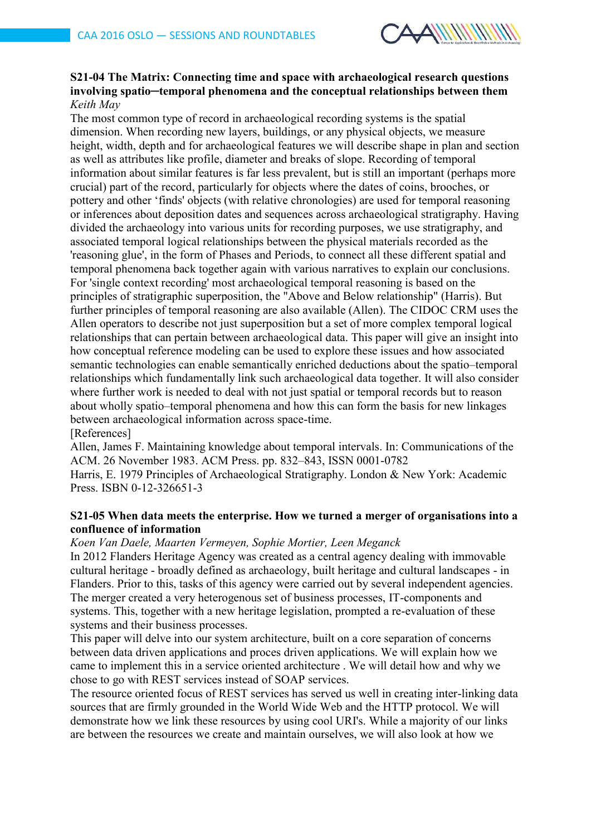

### **S21-04 The Matrix: Connecting time and space with archaeological research questions involving spatio─temporal phenomena and the conceptual relationships between them** *Keith May*

The most common type of record in archaeological recording systems is the spatial dimension. When recording new layers, buildings, or any physical objects, we measure height, width, depth and for archaeological features we will describe shape in plan and section as well as attributes like profile, diameter and breaks of slope. Recording of temporal information about similar features is far less prevalent, but is still an important (perhaps more crucial) part of the record, particularly for objects where the dates of coins, brooches, or pottery and other 'finds' objects (with relative chronologies) are used for temporal reasoning or inferences about deposition dates and sequences across archaeological stratigraphy. Having divided the archaeology into various units for recording purposes, we use stratigraphy, and associated temporal logical relationships between the physical materials recorded as the 'reasoning glue', in the form of Phases and Periods, to connect all these different spatial and temporal phenomena back together again with various narratives to explain our conclusions. For 'single context recording' most archaeological temporal reasoning is based on the principles of stratigraphic superposition, the "Above and Below relationship" (Harris). But further principles of temporal reasoning are also available (Allen). The CIDOC CRM uses the Allen operators to describe not just superposition but a set of more complex temporal logical relationships that can pertain between archaeological data. This paper will give an insight into how conceptual reference modeling can be used to explore these issues and how associated semantic technologies can enable semantically enriched deductions about the spatio–temporal relationships which fundamentally link such archaeological data together. It will also consider where further work is needed to deal with not just spatial or temporal records but to reason about wholly spatio–temporal phenomena and how this can form the basis for new linkages between archaeological information across space-time.

[References]

Allen, James F. Maintaining knowledge about temporal intervals. In: Communications of the ACM. 26 November 1983. ACM Press. pp. 832–843, ISSN 0001-0782

Harris, E. 1979 Principles of Archaeological Stratigraphy. London & New York: Academic Press. ISBN 0-12-326651-3

#### **S21-05 When data meets the enterprise. How we turned a merger of organisations into a confluence of information**

*Koen Van Daele, Maarten Vermeyen, Sophie Mortier, Leen Meganck*

In 2012 Flanders Heritage Agency was created as a central agency dealing with immovable cultural heritage - broadly defined as archaeology, built heritage and cultural landscapes - in Flanders. Prior to this, tasks of this agency were carried out by several independent agencies. The merger created a very heterogenous set of business processes, IT-components and systems. This, together with a new heritage legislation, prompted a re-evaluation of these systems and their business processes.

This paper will delve into our system architecture, built on a core separation of concerns between data driven applications and proces driven applications. We will explain how we came to implement this in a service oriented architecture . We will detail how and why we chose to go with REST services instead of SOAP services.

The resource oriented focus of REST services has served us well in creating inter-linking data sources that are firmly grounded in the World Wide Web and the HTTP protocol. We will demonstrate how we link these resources by using cool URI's. While a majority of our links are between the resources we create and maintain ourselves, we will also look at how we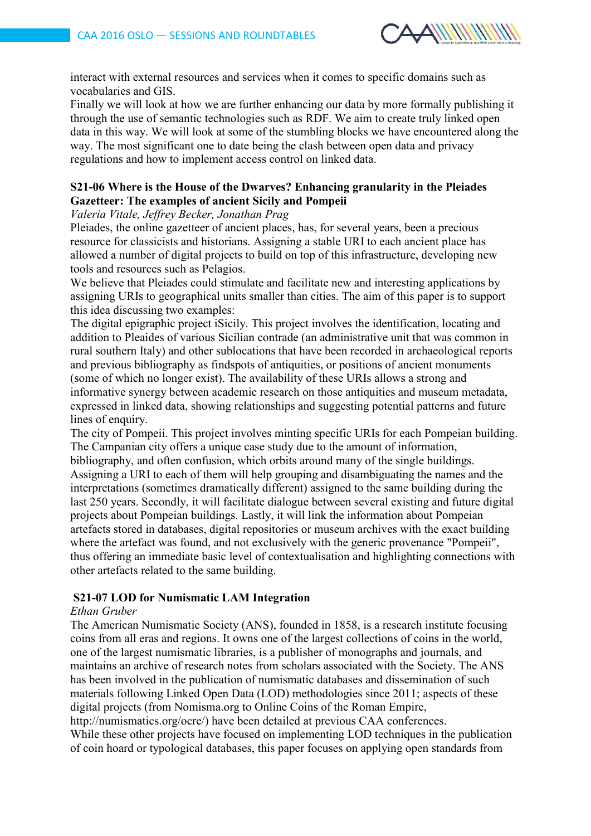

interact with external resources and services when it comes to specific domains such as vocabularies and GIS.

Finally we will look at how we are further enhancing our data by more formally publishing it through the use of semantic technologies such as RDF. We aim to create truly linked open data in this way. We will look at some of the stumbling blocks we have encountered along the way. The most significant one to date being the clash between open data and privacy regulations and how to implement access control on linked data.

### **S21-06 Where is the House of the Dwarves? Enhancing granularity in the Pleiades Gazetteer: The examples of ancient Sicily and Pompeii**

## *Valeria Vitale, Jeffrey Becker, Jonathan Prag*

Pleiades, the online gazetteer of ancient places, has, for several years, been a precious resource for classicists and historians. Assigning a stable URI to each ancient place has allowed a number of digital projects to build on top of this infrastructure, developing new tools and resources such as Pelagios.

We believe that Pleiades could stimulate and facilitate new and interesting applications by assigning URIs to geographical units smaller than cities. The aim of this paper is to support this idea discussing two examples:

The digital epigraphic project iSicily. This project involves the identification, locating and addition to Pleaides of various Sicilian contrade (an administrative unit that was common in rural southern Italy) and other sublocations that have been recorded in archaeological reports and previous bibliography as findspots of antiquities, or positions of ancient monuments (some of which no longer exist). The availability of these URIs allows a strong and informative synergy between academic research on those antiquities and museum metadata, expressed in linked data, showing relationships and suggesting potential patterns and future lines of enquiry.

The city of Pompeii. This project involves minting specific URIs for each Pompeian building. The Campanian city offers a unique case study due to the amount of information,

bibliography, and often confusion, which orbits around many of the single buildings. Assigning a URI to each of them will help grouping and disambiguating the names and the interpretations (sometimes dramatically different) assigned to the same building during the last 250 years. Secondly, it will facilitate dialogue between several existing and future digital projects about Pompeian buildings. Lastly, it will link the information about Pompeian artefacts stored in databases, digital repositories or museum archives with the exact building where the artefact was found, and not exclusively with the generic provenance "Pompeii". thus offering an immediate basic level of contextualisation and highlighting connections with other artefacts related to the same building.

#### **S21-07 LOD for Numismatic LAM Integration**

#### *Ethan Gruber*

The American Numismatic Society (ANS), founded in 1858, is a research institute focusing coins from all eras and regions. It owns one of the largest collections of coins in the world, one of the largest numismatic libraries, is a publisher of monographs and journals, and maintains an archive of research notes from scholars associated with the Society. The ANS has been involved in the publication of numismatic databases and dissemination of such materials following Linked Open Data (LOD) methodologies since 2011; aspects of these digital projects (from Nomisma.org to Online Coins of the Roman Empire,

http://numismatics.org/ocre/) have been detailed at previous CAA conferences.

While these other projects have focused on implementing LOD techniques in the publication of coin hoard or typological databases, this paper focuses on applying open standards from